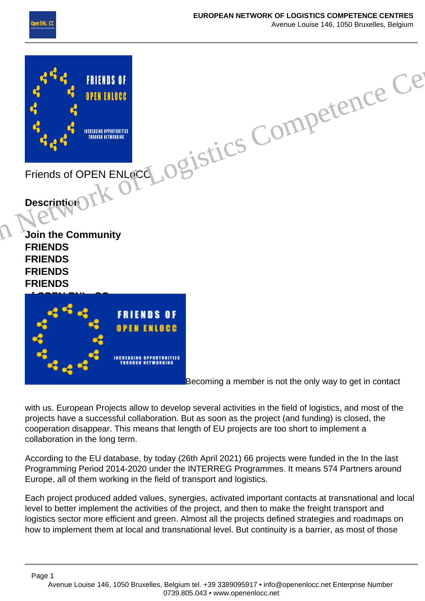

|                                                                                            |                                                                                                         | Friends of OPEN ENLINED OF STICS COMPETENCE CE |  |
|--------------------------------------------------------------------------------------------|---------------------------------------------------------------------------------------------------------|------------------------------------------------|--|
| Join the Community<br><b>FRIENDS</b><br><b>FRIENDS</b><br><b>FRIENDS</b><br><b>FRIENDS</b> |                                                                                                         |                                                |  |
|                                                                                            | <b>FRIENDS OF</b><br><b>OPEN ENLOCC</b><br><b>INCREASING OPPORTUNITIES</b><br><b>THROUGH NETWORKING</b> |                                                |  |

Becoming a member is not the only way to get in contact

with us. European Projects allow to develop several activities in the field of logistics, and most of the projects have a successful collaboration. But as soon as the project (and funding) is closed, the cooperation disappear. This means that length of EU projects are too short to implement a collaboration in the long term.

According to the EU database, by today (26th April 2021) 66 projects were funded in the In the last Programming Period 2014-2020 under the INTERREG Programmes. It means 574 Partners around Europe, all of them working in the field of transport and logistics.

Each project produced added values, synergies, activated important contacts at transnational and local level to better implement the activities of the project, and then to make the freight transport and logistics sector more efficient and green. Almost all the projects defined strategies and roadmaps on how to implement them at local and transnational level. But continuity is a barrier, as most of those

Page 1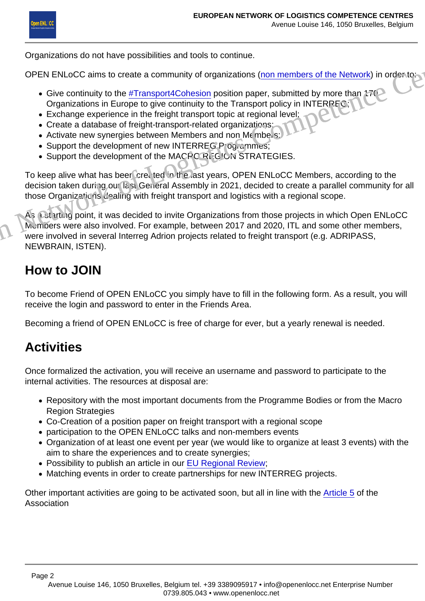Organizations do not have possibilities and tools to continue.

OPEN ENLoCC aims to create a community of organizations (non members of the Network) in order to:

- Give continuity to the **#Transport4Cohesion** position paper, submitted by more than 1700 Organizations in Europe to give continuity to the Transport policy in INTERREG;
- Exchange experience in the freight transport topic at regional level;
- Create a database of freight-transport-related organizations;
- Activate new synergies between Members and non Members;
- Support the development of new INTERREG Programmes;
- Support the development of the MACRO REGION STRATEGIES.

To keep alive what has been created in the last years, OPEN ENLoCC Members, according to the decision taken during our last Coneral Assembly in 2021, decided to create a parallel community for all those Organizations dealing with freight transport and logistics with a regional scope.

As a starting point, it was decided to invite Organizations from those projects in which Open ENLoCC Members were also involved. For example, between 2017 and 2020, ITL and some other members, were involved in several Interreg Adrion projects related to freight transport (e.g. ADRIPASS, NEWBRAIN, ISTEN). Competitive sites of the Machine of Logistics Competition and the Machine Machine Machine Machine Machine Machine Machine Competition of Campendial Machine Competence in the fright transport of pice on the Franchieve Compe

# How to JOIN

To become Friend of OPEN ENLoCC you simply have to fill in the following form. As a result, you will receive the login and password to enter in the Friends Area.

Becoming a friend of OPEN ENLoCC is free of charge for ever, but a yearly renewal is needed.

## **Activities**

Once formalized the activation, you will receive an username and password to participate to the internal activities. The resources at disposal are:

- Repository with the most important documents from the Programme Bodies or from the Macro Region Strategies
- Co-Creation of a position paper on freight transport with a regional scope
- participation to the OPEN ENLoCC talks and non-members events
- Organization of at least one event per year (we would like to organize at least 3 events) with the aim to share the experiences and to create synergies;
- Possibility to publish an article in our [EU Regional Review;](https://www.openenlocc.net/european-review-of-regional-logistics/)
- Matching events in order to create partnerships for new INTERREG projects.

Other important activities are going to be activated soon, but all in line with the [Article 5](https://www.openenlocc.net/articles-of-the-association/) of the Association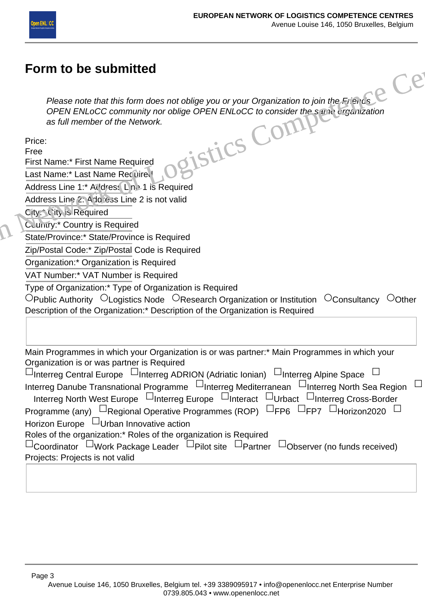

### **Form to be submitted**

| Form to be submitted                                                                                                                                                                                                        |
|-----------------------------------------------------------------------------------------------------------------------------------------------------------------------------------------------------------------------------|
| Please note that this form does not oblige you or your Organization to join the Friend's<br>OPEN ENLoCC community nor oblige OPEN ENLoCC to consider the same erganization<br>as full member of the Network.<br>gistics Co. |
| Price:                                                                                                                                                                                                                      |
| Free                                                                                                                                                                                                                        |
| First Name:* First Name Required                                                                                                                                                                                            |
| Last Name:* Last Name Require                                                                                                                                                                                               |
| Address Line 1:* Address Line 1 is Required                                                                                                                                                                                 |
| Address Line 2: Add ess Line 2 is not valid                                                                                                                                                                                 |
| City:* City Is Required                                                                                                                                                                                                     |
| Country:* Country is Required                                                                                                                                                                                               |
| State/Province:* State/Province is Required                                                                                                                                                                                 |
| Zip/Postal Code:* Zip/Postal Code is Required                                                                                                                                                                               |
| Organization:* Organization is Required                                                                                                                                                                                     |
| VAT Number:* VAT Number is Required                                                                                                                                                                                         |
| Type of Organization:* Type of Organization is Required                                                                                                                                                                     |
| $\circ$ Public Authority $\circ$ Logistics Node $\circ$ Research Organization or Institution<br>$\circ$ Consultancy<br>$\cup$ Other                                                                                         |
| Description of the Organization:* Description of the Organization is Required                                                                                                                                               |
|                                                                                                                                                                                                                             |
|                                                                                                                                                                                                                             |
| Main Programmes in which your Organization is or was partner:* Main Programmes in which your                                                                                                                                |
| Organization is or was partner is Required                                                                                                                                                                                  |
| $\Box$ Interreg Central Europe $~\Box$ Interreg ADRION (Adriatic Ionian) $~\Box$ Interreg Alpine Space                                                                                                                      |
| Interreg Danube Transnational Programme □Interreg Mediterranean □Interreg North Sea Region                                                                                                                                  |
| Interreg North West Europe DInterreg Europe DInteract DUrbact DInterreg Cross-Border                                                                                                                                        |
| Programme (any) $\Box$ Regional Operative Programmes (ROP) $\Box$ FP6 $\Box$ FP7 $\Box$ Horizon2020 $\Box$                                                                                                                  |
| Horizon Europe UUrban Innovative action                                                                                                                                                                                     |
| Roles of the organization:* Roles of the organization is Required                                                                                                                                                           |
| $\sqcup$ Coordinator $\sqcup$ Work Package Leader $\sqcup$ Pilot site $\sqcup$ Partner $\sqcup$ Observer (no funds received)                                                                                                |
| Projects: Projects is not valid                                                                                                                                                                                             |
|                                                                                                                                                                                                                             |

Page 3